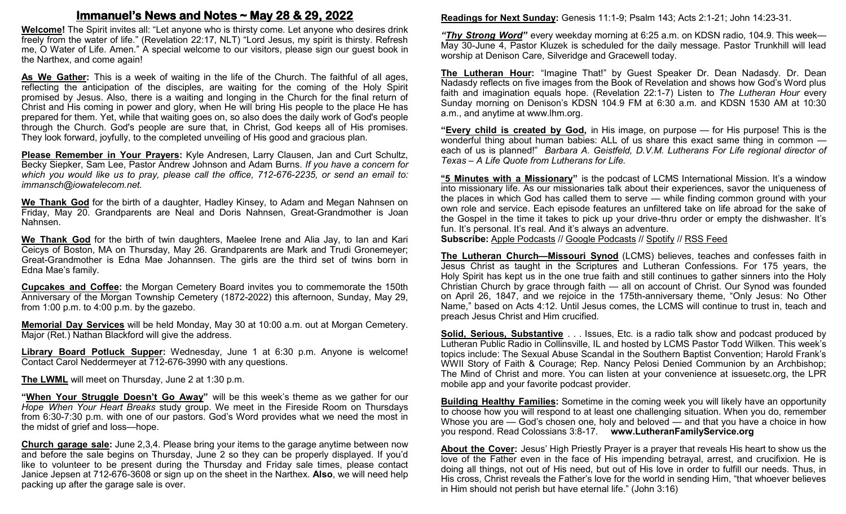## **Immanuel's News and Notes ~ May 28 & 29, 2022**

**Welcome!** The Spirit invites all: "Let anyone who is thirsty come. Let anyone who desires drink freely from the water of life." (Revelation 22:17, NLT) "Lord Jesus, my spirit is thirsty. Refresh me, O Water of Life. Amen." A special welcome to our visitors, please sign our guest book in the Narthex, and come again!

**As We Gather:** This is a week of waiting in the life of the Church. The faithful of all ages, reflecting the anticipation of the disciples, are waiting for the coming of the Holy Spirit promised by Jesus. Also, there is a waiting and longing in the Church for the final return of Christ and His coming in power and glory, when He will bring His people to the place He has prepared for them. Yet, while that waiting goes on, so also does the daily work of God's people through the Church. God's people are sure that, in Christ, God keeps all of His promises. They look forward, joyfully, to the completed unveiling of His good and gracious plan.

**Please Remember in Your Prayers:** Kyle Andresen, Larry Clausen, Jan and Curt Schultz, Becky Siepker, Sam Lee, Pastor Andrew Johnson and Adam Burns. *If you have a concern for which you would like us to pray, please call the office, 712-676-2235, or send an email to: immansch@iowatelecom.net.*

**We Thank God** for the birth of a daughter, Hadley Kinsey, to Adam and Megan Nahnsen on Friday, May 20. Grandparents are Neal and Doris Nahnsen, Great-Grandmother is Joan Nahnsen.

**We Thank God** for the birth of twin daughters, Maelee Irene and Alia Jay, to Ian and Kari Ceicys of Boston, MA on Thursday, May 26. Grandparents are Mark and Trudi Gronemeyer; Great-Grandmother is Edna Mae Johannsen. The girls are the third set of twins born in Edna Mae's family.

**Cupcakes and Coffee:** the Morgan Cemetery Board invites you to commemorate the 150th Anniversary of the Morgan Township Cemetery (1872-2022) this afternoon, Sunday, May 29, from 1:00 p.m. to 4:00 p.m. by the gazebo.

**Memorial Day Services** will be held Monday, May 30 at 10:00 a.m. out at Morgan Cemetery. Major (Ret.) Nathan Blackford will give the address.

**Library Board Potluck Supper:** Wednesday, June 1 at 6:30 p.m. Anyone is welcome! Contact Carol Neddermeyer at 712-676-3990 with any questions.

**The LWML** will meet on Thursday, June 2 at 1:30 p.m.

"When Your Struggle Doesn't Go Away" will be this week's theme as we gather for our *Hope When Your Heart Breaks* study group. We meet in the Fireside Room on Thursdays from 6:30-7:30 p.m. with one of our pastors. God's Word provides what we need the most in the midst of grief and loss—hope.

**Church garage sale:** June 2,3,4. Please bring your items to the garage anytime between now and before the sale begins on Thursday, June 2 so they can be properly displayed. If you'd like to volunteer to be present during the Thursday and Friday sale times, please contact Janice Jepsen at 712-676-3608 or sign up on the sheet in the Narthex. **Also**, we will need help packing up after the garage sale is over.

**Readings for Next Sunday:** Genesis 11:1-9; Psalm 143; Acts 2:1-21; John 14:23-31.

*"Thy Strong Word"* every weekday morning at 6:25 a.m. on KDSN radio, 104.9. This week— May 30-June 4, Pastor Kluzek is scheduled for the daily message. Pastor Trunkhill will lead worship at Denison Care, Silveridge and Gracewell today.

**The Lutheran Hour:** "Imagine That!" by Guest Speaker Dr. Dean Nadasdy. Dr. Dean Nadasdy reflects on five images from the Book of Revelation and shows how God's Word plus faith and imagination equals hope. (Revelation 22:1-7) Listen to *The Lutheran Hour* every Sunday morning on Denison's KDSN 104.9 FM at 6:30 a.m. and KDSN 1530 AM at 10:30 a.m., and anytime at www.lhm.org.

**"Every child is created by God,** in His image, on purpose — for His purpose! This is the wonderful thing about human babies: ALL of us share this exact same thing in common each of us is planned!" *Barbara A. Geistfeld, D.V.M. Lutherans For Life regional director of Texas – A Life Quote from Lutherans for Life.*

**"5 Minutes with a Missionary"** is the podcast of LCMS International Mission. It's a window into missionary life. As our missionaries talk about their experiences, savor the uniqueness of the places in which God has called them to serve — while finding common ground with your own role and service. Each episode features an unfiltered take on life abroad for the sake of the Gospel in the time it takes to pick up your drive-thru order or empty the dishwasher. It's fun. It's personal. It's real. And it's always an adventure.

**Subscribe:** [Apple Podcasts](https://podcasts.apple.com/us/podcast/5-minutes-with-a-missionary-%E2%80%94-lcms-international-mission/id1616239680) // [Google Podcasts](https://podcasts.google.com/feed/aHR0cHM6Ly9rZnVvLXJzcy5zdHJlYW1ndXlzMS5jb20vNS1NaW51dGVzLXdpdGgtYS1NaXNzaW9uYXJ5LzUtbWludXRlcy13aXRoLWEtbWlzc2lvbmFyeS1nb29nbGUtcG9kY2FzdHMueG1s) // [Spotify](https://open.spotify.com/show/2yCtaUIl59HXY5kGdk2TJ0) // [RSS Feed](https://kfuo-rss.streamguys1.com/kfuo/5-minutes-with-a-missionary.xml)

**The Lutheran Church—Missouri Synod** (LCMS) believes, teaches and confesses faith in Jesus Christ as taught in the Scriptures and Lutheran Confessions. For 175 years, the Holy Spirit has kept us in the one true faith and still continues to gather sinners into the Holy Christian Church by grace through faith — all on account of Christ. Our Synod was founded on April 26, 1847, and we rejoice in the 175th-anniversary theme, "Only Jesus: No Other Name," based on Acts 4:12. Until Jesus comes, the LCMS will continue to trust in, teach and preach Jesus Christ and Him crucified.

**Solid, Serious, Substantive** . . . Issues, Etc. is a radio talk show and podcast produced by Lutheran Public Radio in Collinsville, IL and hosted by LCMS Pastor Todd Wilken. This week's topics include: The Sexual Abuse Scandal in the Southern Baptist Convention; Harold Frank's WWII Story of Faith & Courage; Rep. Nancy Pelosi Denied Communion by an Archbishop; The Mind of Christ and more. You can listen at your convenience at issuesetc.org, the LPR mobile app and your favorite podcast provider.

**Building Healthy Families:** Sometime in the coming week you will likely have an opportunity to choose how you will respond to at least one challenging situation. When you do, remember Whose you are — God's chosen one, holy and beloved — and that you have a choice in how you respond. Read Colossians 3:8-17. **www.LutheranFamilyService.org**

**About the Cover:** Jesus' High Priestly Prayer is a prayer that reveals His heart to show us the love of the Father even in the face of His impending betrayal, arrest, and crucifixion. He is doing all things, not out of His need, but out of His love in order to fulfill our needs. Thus, in His cross, Christ reveals the Father's love for the world in sending Him, "that whoever believes in Him should not perish but have eternal life." (John 3:16)